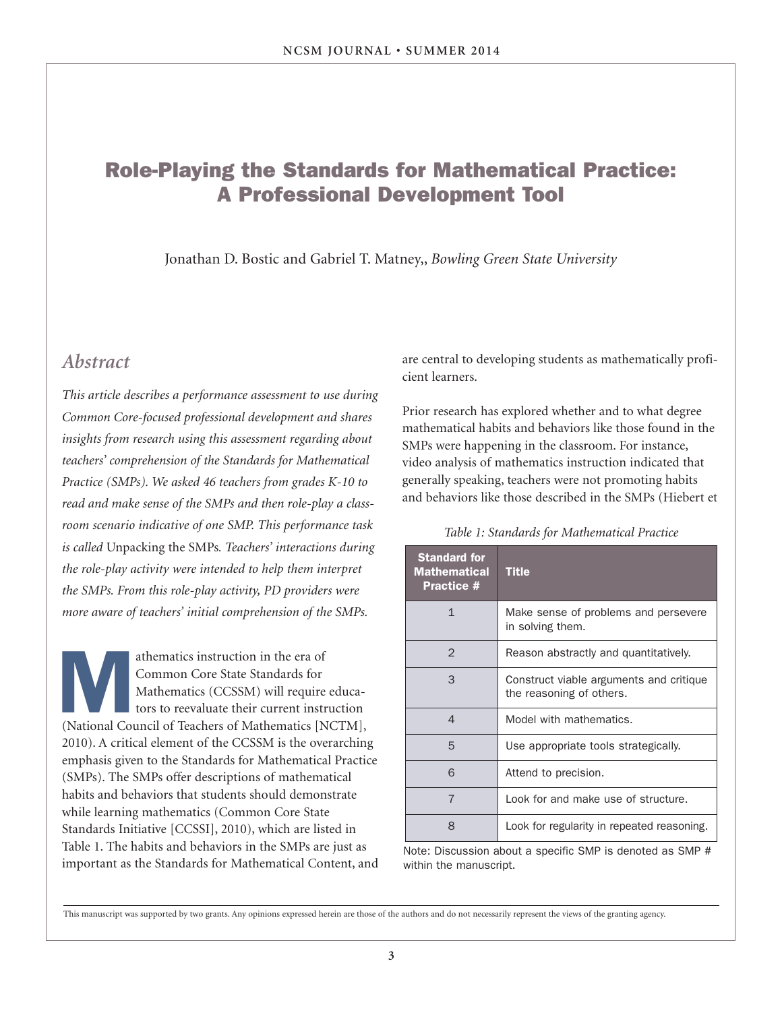### **Role-Playing the Standards for Mathematical Practice: A Professional Development Tool**

Jonathan D. Bostic and Gabriel T. Matney,, *Bowling Green State University*

### *Abstract*

*This article describes a performance assessment to use during Common Core-focused professional development and shares insights from research using this assessment regarding about teachers' comprehension of the Standards for Mathematical Practice (SMPs). We asked 46 teachers from grades K-10 to read and make sense of the SMPs and then role-play a classroom scenario indicative of one SMP. This performance task is called* Unpacking the SMPs*. Teachers' interactions during the role-play activity were intended to help them interpret the SMPs. From this role-play activity, PD providers were more aware of teachers' initial comprehension of the SMPs.*

athematics instruction in the era of<br>
Common Core State Standards for<br>
Mathematics (CCSSM) will require educa-<br>
tors to reevaluate their current instruction<br>
(National Council of Teachers of Mathematics [NCTM], Common Core State Standards for Mathematics (CCSSM) will require educators to reevaluate their current instruction 2010). A critical element of the CCSSM is the overarching emphasis given to the Standards for Mathematical Practice (SMPs). The SMPs offer descriptions of mathematical habits and behaviors that students should demonstrate while learning mathematics (Common Core State Standards Initiative [CCSSI], 2010), which are listed in Table 1. The habits and behaviors in the SMPs are just as important as the Standards for Mathematical Content, and are central to developing students as mathematically proficient learners.

Prior research has explored whether and to what degree mathematical habits and behaviors like those found in the SMPs were happening in the classroom. For instance, video analysis of mathematics instruction indicated that generally speaking, teachers were not promoting habits and behaviors like those described in the SMPs (Hiebert et

#### *Table 1: Standards for Mathematical Practice*

| <b>Standard for</b><br><b>Mathematical</b><br><b>Practice #</b> | <b>Title</b>                                                        |  |
|-----------------------------------------------------------------|---------------------------------------------------------------------|--|
| $\mathbf{1}$                                                    | Make sense of problems and persevere<br>in solving them.            |  |
| $\mathcal{P}$                                                   | Reason abstractly and quantitatively.                               |  |
| 3                                                               | Construct viable arguments and critique<br>the reasoning of others. |  |
| $\overline{4}$                                                  | Model with mathematics.                                             |  |
| 5                                                               | Use appropriate tools strategically.                                |  |
| 6                                                               | Attend to precision.                                                |  |
| $\overline{7}$                                                  | Look for and make use of structure.                                 |  |
| 8                                                               | Look for regularity in repeated reasoning.                          |  |

Note: Discussion about a specific SMP is denoted as SMP # within the manuscript.

This manuscript was supported by two grants. Any opinions expressed herein are those of the authors and do not necessarily represent the views of the granting agency.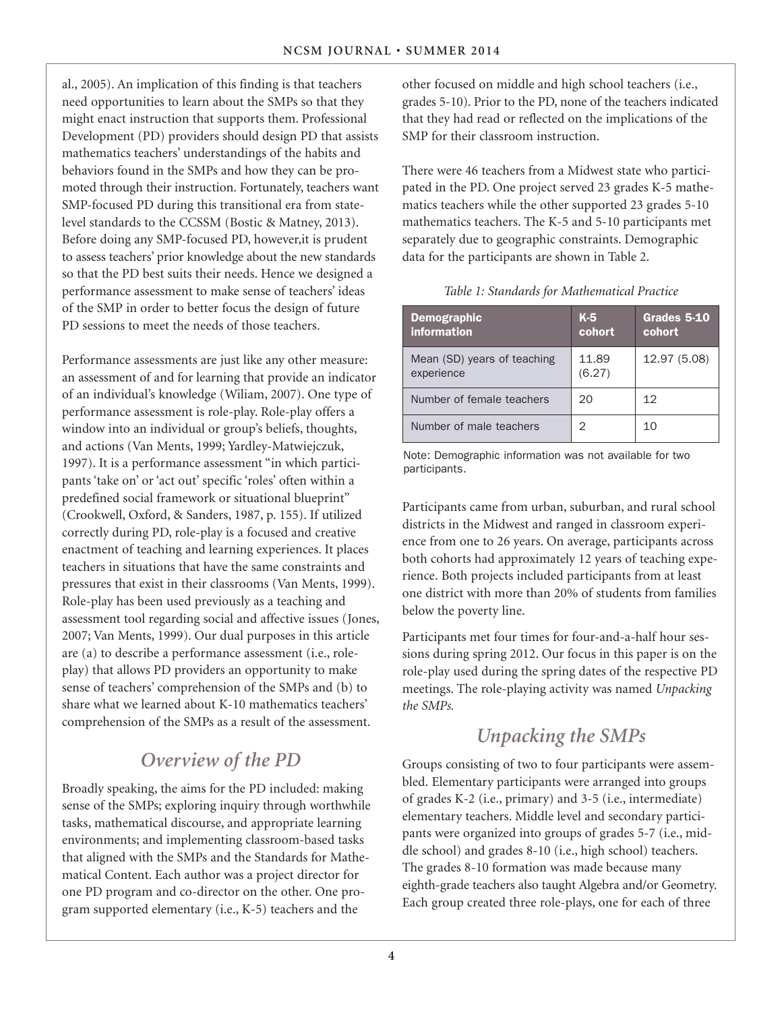al., 2005). An implication of this finding is that teachers need opportunities to learn about the SMPs so that they might enact instruction that supports them. Professional Development (PD) providers should design PD that assists mathematics teachers' understandings of the habits and behaviors found in the SMPs and how they can be promoted through their instruction. Fortunately, teachers want SMP-focused PD during this transitional era from statelevel standards to the CCSSM (Bostic & Matney, 2013). Before doing any SMP-focused PD, however,it is prudent to assess teachers' prior knowledge about the new standards so that the PD best suits their needs. Hence we designed a performance assessment to make sense of teachers' ideas of the SMP in order to better focus the design of future PD sessions to meet the needs of those teachers.

Performance assessments are just like any other measure: an assessment of and for learning that provide an indicator of an individual's knowledge (Wiliam, 2007). One type of performance assessment is role-play. Role-play offers a window into an individual or group's beliefs, thoughts, and actions (Van Ments, 1999; Yardley-Matwiejczuk, 1997). It is a performance assessment "in which participants 'take on' or 'act out' specific 'roles' often within a predefined social framework or situational blueprint" (Crookwell, Oxford, & Sanders, 1987, p. 155). If utilized correctly during PD, role-play is a focused and creative enactment of teaching and learning experiences. It places teachers in situations that have the same constraints and pressures that exist in their classrooms (Van Ments, 1999). Role-play has been used previously as a teaching and assessment tool regarding social and affective issues (Jones, 2007; Van Ments, 1999). Our dual purposes in this article are (a) to describe a performance assessment (i.e., roleplay) that allows PD providers an opportunity to make sense of teachers' comprehension of the SMPs and (b) to share what we learned about K-10 mathematics teachers' comprehension of the SMPs as a result of the assessment.

# *Overview of the PD*

Broadly speaking, the aims for the PD included: making sense of the SMPs; exploring inquiry through worthwhile tasks, mathematical discourse, and appropriate learning environments; and implementing classroom-based tasks that aligned with the SMPs and the Standards for Mathematical Content. Each author was a project director for one PD program and co-director on the other. One program supported elementary (i.e., K-5) teachers and the

other focused on middle and high school teachers (i.e., grades 5-10). Prior to the PD, none of the teachers indicated that they had read or reflected on the implications of the SMP for their classroom instruction.

There were 46 teachers from a Midwest state who participated in the PD. One project served 23 grades K-5 mathematics teachers while the other supported 23 grades 5-10 mathematics teachers. The K-5 and 5-10 participants met separately due to geographic constraints. Demographic data for the participants are shown in Table 2.

#### *Table 1: Standards for Mathematical Practice*

| <b>Demographic</b><br>information         | $K-5$<br>cohort | Grades 5-10<br>cohort |
|-------------------------------------------|-----------------|-----------------------|
| Mean (SD) years of teaching<br>experience | 11.89<br>(6.27) | 12.97 (5.08)          |
| Number of female teachers                 | 20              | 12                    |
| Number of male teachers                   | 2               | 10                    |

Note: Demographic information was not available for two participants.

Participants came from urban, suburban, and rural school districts in the Midwest and ranged in classroom experience from one to 26 years. On average, participants across both cohorts had approximately 12 years of teaching experience. Both projects included participants from at least one district with more than 20% of students from families below the poverty line.

Participants met four times for four-and-a-half hour sessions during spring 2012. Our focus in this paper is on the role-play used during the spring dates of the respective PD meetings. The role-playing activity was named *Unpacking the SMPs.*

# *Unpacking the SMPs*

Groups consisting of two to four participants were assembled. Elementary participants were arranged into groups of grades K-2 (i.e., primary) and 3-5 (i.e., intermediate) elementary teachers. Middle level and secondary participants were organized into groups of grades 5-7 (i.e., middle school) and grades 8-10 (i.e., high school) teachers. The grades 8-10 formation was made because many eighth-grade teachers also taught Algebra and/or Geometry. Each group created three role-plays, one for each of three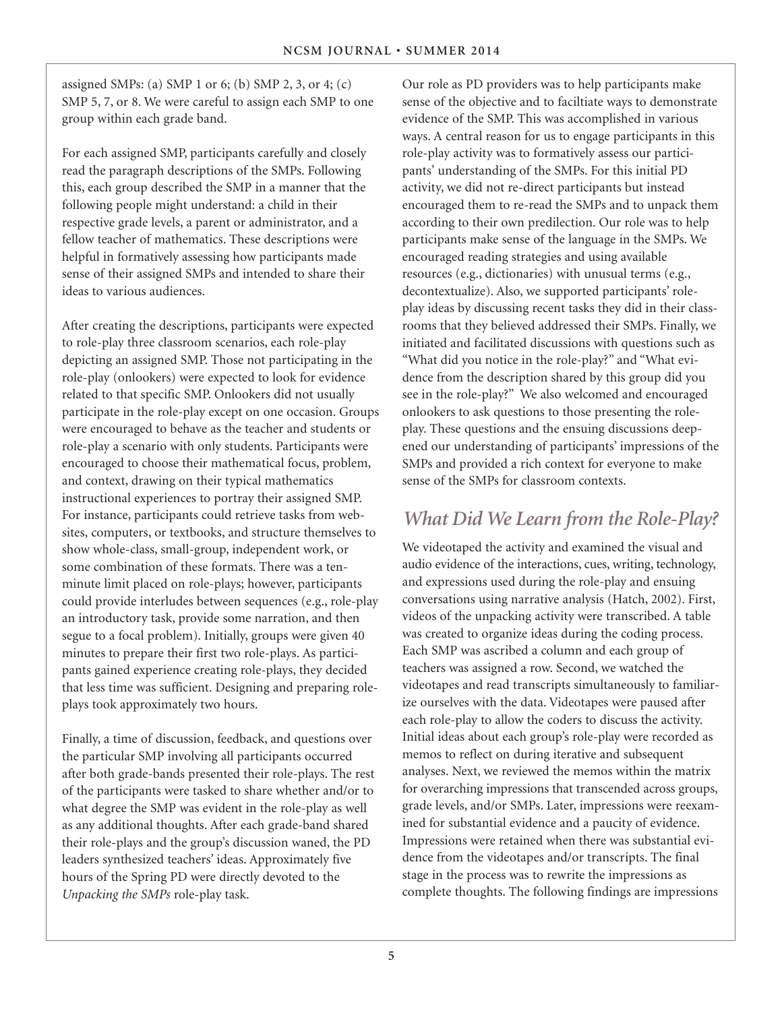assigned SMPs: (a) SMP 1 or 6; (b) SMP 2, 3, or 4; (c) SMP 5, 7, or 8. We were careful to assign each SMP to one group within each grade band.

For each assigned SMP, participants carefully and closely read the paragraph descriptions of the SMPs. Following this, each group described the SMP in a manner that the following people might understand: a child in their respective grade levels, a parent or administrator, and a fellow teacher of mathematics. These descriptions were helpful in formatively assessing how participants made sense of their assigned SMPs and intended to share their ideas to various audiences.

After creating the descriptions, participants were expected to role-play three classroom scenarios, each role-play depicting an assigned SMP. Those not participating in the role-play (onlookers) were expected to look for evidence related to that specific SMP. Onlookers did not usually participate in the role-play except on one occasion. Groups were encouraged to behave as the teacher and students or role-play a scenario with only students. Participants were encouraged to choose their mathematical focus, problem, and context, drawing on their typical mathematics instructional experiences to portray their assigned SMP. For instance, participants could retrieve tasks from websites, computers, or textbooks, and structure themselves to show whole-class, small-group, independent work, or some combination of these formats. There was a tenminute limit placed on role-plays; however, participants could provide interludes between sequences (e.g., role-play an introductory task, provide some narration, and then segue to a focal problem). Initially, groups were given 40 minutes to prepare their first two role-plays. As participants gained experience creating role-plays, they decided that less time was sufficient. Designing and preparing roleplays took approximately two hours.

Finally, a time of discussion, feedback, and questions over the particular SMP involving all participants occurred after both grade-bands presented their role-plays. The rest of the participants were tasked to share whether and/or to what degree the SMP was evident in the role-play as well as any additional thoughts. After each grade-band shared their role-plays and the group's discussion waned, the PD leaders synthesized teachers' ideas. Approximately five hours of the Spring PD were directly devoted to the *Unpacking the SMPs* role-play task.

Our role as PD providers was to help participants make sense of the objective and to faciltiate ways to demonstrate evidence of the SMP. This was accomplished in various ways. A central reason for us to engage participants in this role-play activity was to formatively assess our participants' understanding of the SMPs. For this initial PD activity, we did not re-direct participants but instead encouraged them to re-read the SMPs and to unpack them according to their own predilection. Our role was to help participants make sense of the language in the SMPs. We encouraged reading strategies and using available resources (e.g., dictionaries) with unusual terms (e.g., decontextualize). Also, we supported participants' roleplay ideas by discussing recent tasks they did in their classrooms that they believed addressed their SMPs. Finally, we initiated and facilitated discussions with questions such as "What did you notice in the role-play?" and "What evidence from the description shared by this group did you see in the role-play?" We also welcomed and encouraged onlookers to ask questions to those presenting the roleplay. These questions and the ensuing discussions deepened our understanding of participants' impressions of the SMPs and provided a rich context for everyone to make sense of the SMPs for classroom contexts.

### *What Did We Learn from the Role-Play?*

We videotaped the activity and examined the visual and audio evidence of the interactions, cues, writing, technology, and expressions used during the role-play and ensuing conversations using narrative analysis (Hatch, 2002). First, videos of the unpacking activity were transcribed. A table was created to organize ideas during the coding process. Each SMP was ascribed a column and each group of teachers was assigned a row. Second, we watched the videotapes and read transcripts simultaneously to familiarize ourselves with the data. Videotapes were paused after each role-play to allow the coders to discuss the activity. Initial ideas about each group's role-play were recorded as memos to reflect on during iterative and subsequent analyses. Next, we reviewed the memos within the matrix for overarching impressions that transcended across groups, grade levels, and/or SMPs. Later, impressions were reexamined for substantial evidence and a paucity of evidence. Impressions were retained when there was substantial evidence from the videotapes and/or transcripts. The final stage in the process was to rewrite the impressions as complete thoughts. The following findings are impressions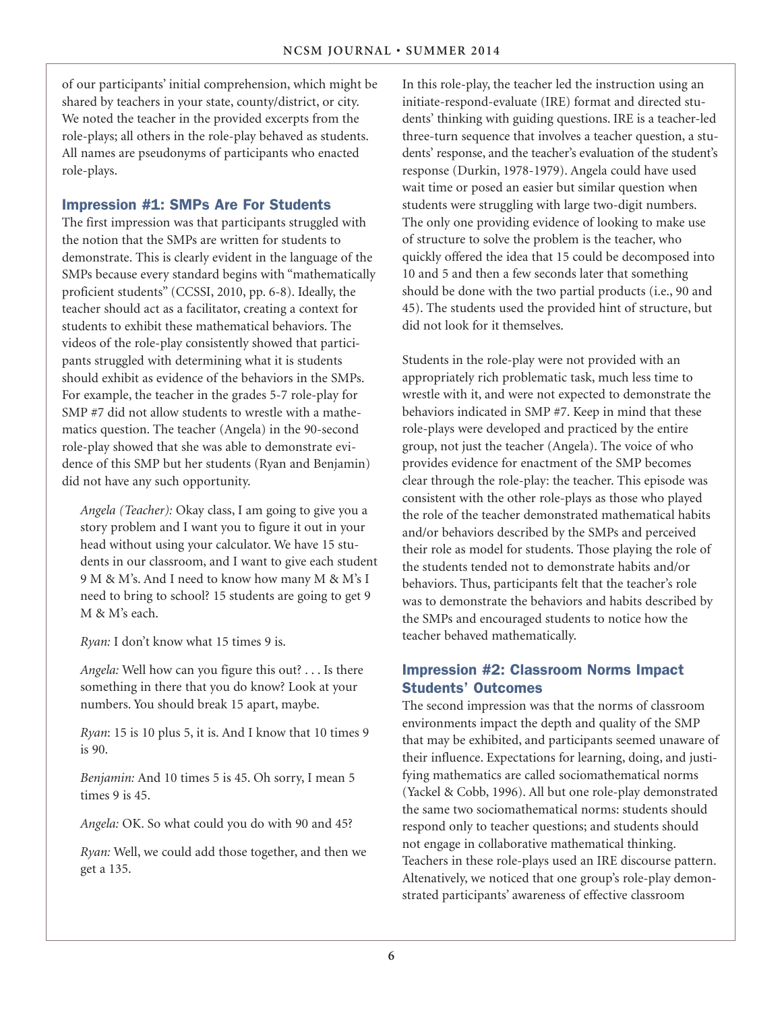of our participants' initial comprehension, which might be shared by teachers in your state, county/district, or city. We noted the teacher in the provided excerpts from the role-plays; all others in the role-play behaved as students. All names are pseudonyms of participants who enacted role-plays.

#### **Impression #1: SMPs Are For Students**

The first impression was that participants struggled with the notion that the SMPs are written for students to demonstrate. This is clearly evident in the language of the SMPs because every standard begins with "mathematically proficient students" (CCSSI, 2010, pp. 6-8). Ideally, the teacher should act as a facilitator, creating a context for students to exhibit these mathematical behaviors. The videos of the role-play consistently showed that participants struggled with determining what it is students should exhibit as evidence of the behaviors in the SMPs. For example, the teacher in the grades 5-7 role-play for SMP #7 did not allow students to wrestle with a mathematics question. The teacher (Angela) in the 90-second role-play showed that she was able to demonstrate evidence of this SMP but her students (Ryan and Benjamin) did not have any such opportunity.

*Angela (Teacher):* Okay class, I am going to give you a story problem and I want you to figure it out in your head without using your calculator. We have 15 students in our classroom, and I want to give each student 9 M & M's. And I need to know how many M & M's I need to bring to school? 15 students are going to get 9 M & M's each.

*Ryan:* I don't know what 15 times 9 is.

*Angela:* Well how can you figure this out? . . . Is there something in there that you do know? Look at your numbers. You should break 15 apart, maybe.

*Ryan*: 15 is 10 plus 5, it is. And I know that 10 times 9 is 90.

*Benjamin:* And 10 times 5 is 45. Oh sorry, I mean 5 times 9 is 45.

*Angela:* OK. So what could you do with 90 and 45?

*Ryan:* Well, we could add those together, and then we get a 135.

In this role-play, the teacher led the instruction using an initiate-respond-evaluate (IRE) format and directed students' thinking with guiding questions. IRE is a teacher-led three-turn sequence that involves a teacher question, a students' response, and the teacher's evaluation of the student's response (Durkin, 1978-1979). Angela could have used wait time or posed an easier but similar question when students were struggling with large two-digit numbers. The only one providing evidence of looking to make use of structure to solve the problem is the teacher, who quickly offered the idea that 15 could be decomposed into 10 and 5 and then a few seconds later that something should be done with the two partial products (i.e., 90 and 45). The students used the provided hint of structure, but did not look for it themselves.

Students in the role-play were not provided with an appropriately rich problematic task, much less time to wrestle with it, and were not expected to demonstrate the behaviors indicated in SMP #7. Keep in mind that these role-plays were developed and practiced by the entire group, not just the teacher (Angela). The voice of who provides evidence for enactment of the SMP becomes clear through the role-play: the teacher. This episode was consistent with the other role-plays as those who played the role of the teacher demonstrated mathematical habits and/or behaviors described by the SMPs and perceived their role as model for students. Those playing the role of the students tended not to demonstrate habits and/or behaviors. Thus, participants felt that the teacher's role was to demonstrate the behaviors and habits described by the SMPs and encouraged students to notice how the teacher behaved mathematically.

### **Impression #2: Classroom Norms Impact Students' Outcomes**

The second impression was that the norms of classroom environments impact the depth and quality of the SMP that may be exhibited, and participants seemed unaware of their influence. Expectations for learning, doing, and justifying mathematics are called sociomathematical norms (Yackel & Cobb, 1996). All but one role-play demonstrated the same two sociomathematical norms: students should respond only to teacher questions; and students should not engage in collaborative mathematical thinking. Teachers in these role-plays used an IRE discourse pattern. Altenatively, we noticed that one group's role-play demonstrated participants' awareness of effective classroom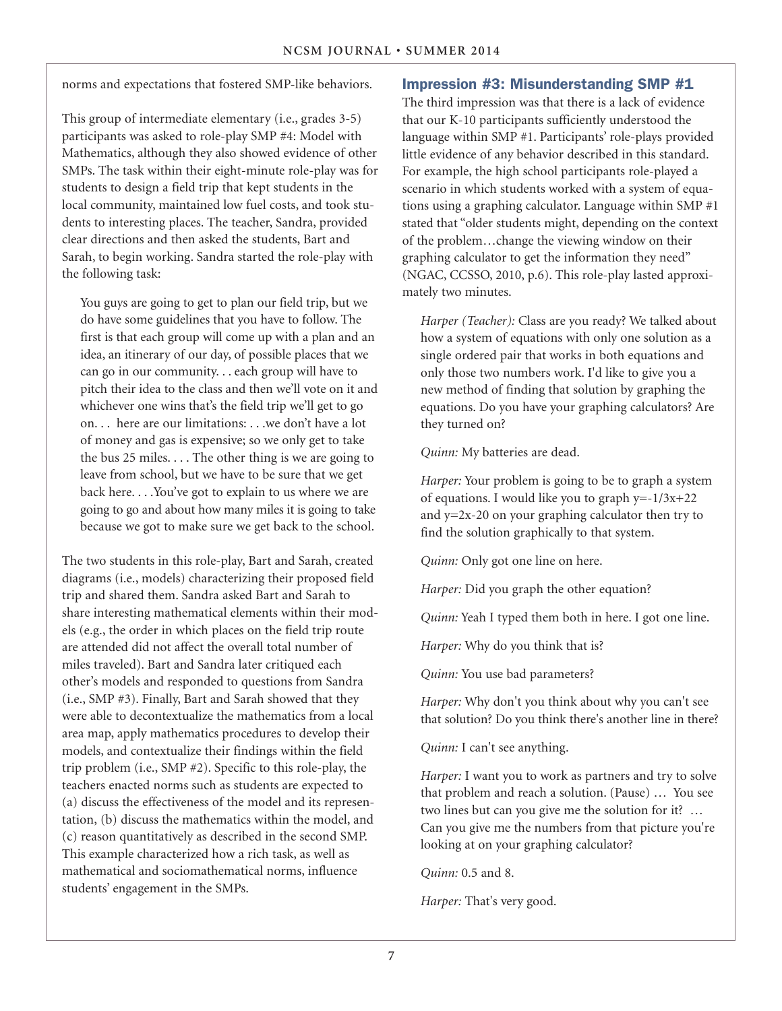norms and expectations that fostered SMP-like behaviors.

This group of intermediate elementary (i.e., grades 3-5) participants was asked to role-play SMP #4: Model with Mathematics, although they also showed evidence of other SMPs. The task within their eight-minute role-play was for students to design a field trip that kept students in the local community, maintained low fuel costs, and took students to interesting places. The teacher, Sandra, provided clear directions and then asked the students, Bart and Sarah, to begin working. Sandra started the role-play with the following task:

You guys are going to get to plan our field trip, but we do have some guidelines that you have to follow. The first is that each group will come up with a plan and an idea, an itinerary of our day, of possible places that we can go in our community. . . each group will have to pitch their idea to the class and then we'll vote on it and whichever one wins that's the field trip we'll get to go on. . . here are our limitations: . . .we don't have a lot of money and gas is expensive; so we only get to take the bus 25 miles. . . . The other thing is we are going to leave from school, but we have to be sure that we get back here. . . .You've got to explain to us where we are going to go and about how many miles it is going to take because we got to make sure we get back to the school.

The two students in this role-play, Bart and Sarah, created diagrams (i.e., models) characterizing their proposed field trip and shared them. Sandra asked Bart and Sarah to share interesting mathematical elements within their models (e.g., the order in which places on the field trip route are attended did not affect the overall total number of miles traveled). Bart and Sandra later critiqued each other's models and responded to questions from Sandra (i.e., SMP #3). Finally, Bart and Sarah showed that they were able to decontextualize the mathematics from a local area map, apply mathematics procedures to develop their models, and contextualize their findings within the field trip problem (i.e., SMP #2). Specific to this role-play, the teachers enacted norms such as students are expected to (a) discuss the effectiveness of the model and its representation, (b) discuss the mathematics within the model, and (c) reason quantitatively as described in the second SMP. This example characterized how a rich task, as well as mathematical and sociomathematical norms, influence students' engagement in the SMPs.

#### **Impression #3: Misunderstanding SMP #1**

The third impression was that there is a lack of evidence that our K-10 participants sufficiently understood the language within SMP #1. Participants' role-plays provided little evidence of any behavior described in this standard. For example, the high school participants role-played a scenario in which students worked with a system of equations using a graphing calculator. Language within SMP #1 stated that "older students might, depending on the context of the problem…change the viewing window on their graphing calculator to get the information they need" (NGAC, CCSSO, 2010, p.6). This role-play lasted approximately two minutes.

*Harper (Teacher):* Class are you ready? We talked about how a system of equations with only one solution as a single ordered pair that works in both equations and only those two numbers work. I'd like to give you a new method of finding that solution by graphing the equations. Do you have your graphing calculators? Are they turned on?

*Quinn:* My batteries are dead.

*Harper:* Your problem is going to be to graph a system of equations. I would like you to graph  $y = -1/3x + 22$ and y=2x-20 on your graphing calculator then try to find the solution graphically to that system.

*Quinn:* Only got one line on here.

*Harper:* Did you graph the other equation?

*Quinn:* Yeah I typed them both in here. I got one line.

*Harper:* Why do you think that is?

*Quinn:* You use bad parameters?

*Harper:* Why don't you think about why you can't see that solution? Do you think there's another line in there?

*Quinn:* I can't see anything.

*Harper:* I want you to work as partners and try to solve that problem and reach a solution. (Pause) … You see two lines but can you give me the solution for it? … Can you give me the numbers from that picture you're looking at on your graphing calculator?

*Quinn:* 0.5 and 8.

*Harper:* That's very good.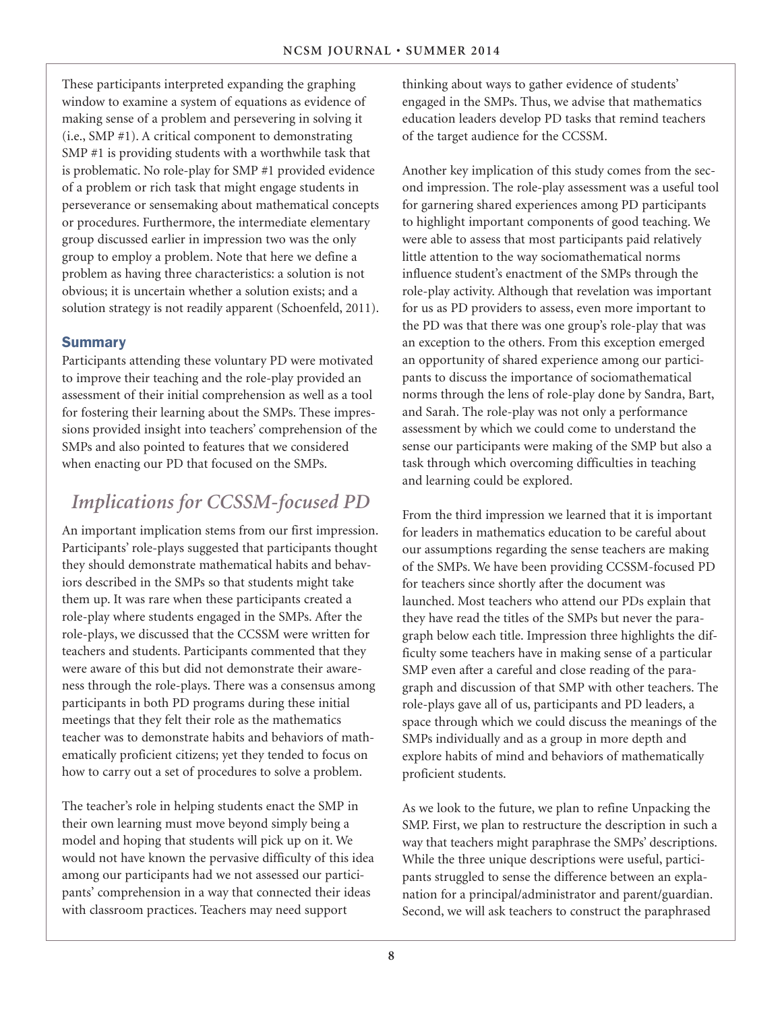These participants interpreted expanding the graphing window to examine a system of equations as evidence of making sense of a problem and persevering in solving it (i.e., SMP #1). A critical component to demonstrating SMP #1 is providing students with a worthwhile task that is problematic. No role-play for SMP #1 provided evidence of a problem or rich task that might engage students in perseverance or sensemaking about mathematical concepts or procedures. Furthermore, the intermediate elementary group discussed earlier in impression two was the only group to employ a problem. Note that here we define a problem as having three characteristics: a solution is not obvious; it is uncertain whether a solution exists; and a solution strategy is not readily apparent (Schoenfeld, 2011).

#### **Summary**

Participants attending these voluntary PD were motivated to improve their teaching and the role-play provided an assessment of their initial comprehension as well as a tool for fostering their learning about the SMPs. These impressions provided insight into teachers' comprehension of the SMPs and also pointed to features that we considered when enacting our PD that focused on the SMPs.

# *Implications for CCSSM-focused PD*

An important implication stems from our first impression. Participants' role-plays suggested that participants thought they should demonstrate mathematical habits and behaviors described in the SMPs so that students might take them up. It was rare when these participants created a role-play where students engaged in the SMPs. After the role-plays, we discussed that the CCSSM were written for teachers and students. Participants commented that they were aware of this but did not demonstrate their awareness through the role-plays. There was a consensus among participants in both PD programs during these initial meetings that they felt their role as the mathematics teacher was to demonstrate habits and behaviors of mathematically proficient citizens; yet they tended to focus on how to carry out a set of procedures to solve a problem.

The teacher's role in helping students enact the SMP in their own learning must move beyond simply being a model and hoping that students will pick up on it. We would not have known the pervasive difficulty of this idea among our participants had we not assessed our participants' comprehension in a way that connected their ideas with classroom practices. Teachers may need support

thinking about ways to gather evidence of students' engaged in the SMPs. Thus, we advise that mathematics education leaders develop PD tasks that remind teachers of the target audience for the CCSSM.

Another key implication of this study comes from the second impression. The role-play assessment was a useful tool for garnering shared experiences among PD participants to highlight important components of good teaching. We were able to assess that most participants paid relatively little attention to the way sociomathematical norms influence student's enactment of the SMPs through the role-play activity. Although that revelation was important for us as PD providers to assess, even more important to the PD was that there was one group's role-play that was an exception to the others. From this exception emerged an opportunity of shared experience among our participants to discuss the importance of sociomathematical norms through the lens of role-play done by Sandra, Bart, and Sarah. The role-play was not only a performance assessment by which we could come to understand the sense our participants were making of the SMP but also a task through which overcoming difficulties in teaching and learning could be explored.

From the third impression we learned that it is important for leaders in mathematics education to be careful about our assumptions regarding the sense teachers are making of the SMPs. We have been providing CCSSM-focused PD for teachers since shortly after the document was launched. Most teachers who attend our PDs explain that they have read the titles of the SMPs but never the paragraph below each title. Impression three highlights the difficulty some teachers have in making sense of a particular SMP even after a careful and close reading of the paragraph and discussion of that SMP with other teachers. The role-plays gave all of us, participants and PD leaders, a space through which we could discuss the meanings of the SMPs individually and as a group in more depth and explore habits of mind and behaviors of mathematically proficient students.

As we look to the future, we plan to refine Unpacking the SMP. First, we plan to restructure the description in such a way that teachers might paraphrase the SMPs' descriptions. While the three unique descriptions were useful, participants struggled to sense the difference between an explanation for a principal/administrator and parent/guardian. Second, we will ask teachers to construct the paraphrased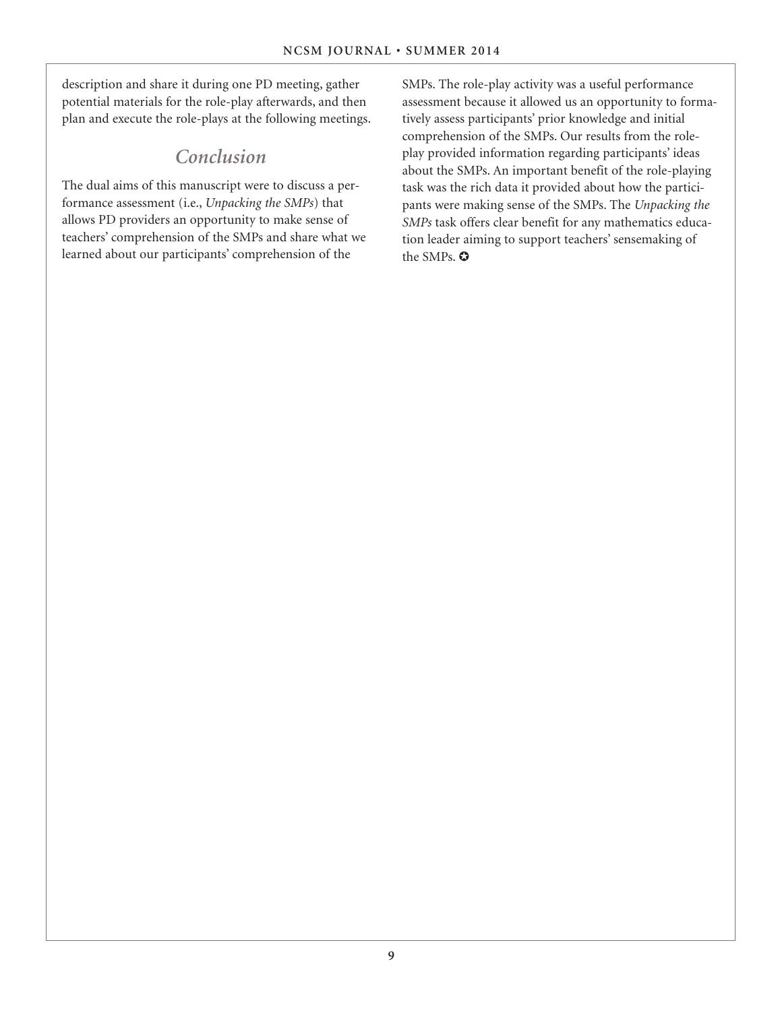description and share it during one PD meeting, gather potential materials for the role-play afterwards, and then plan and execute the role-plays at the following meetings.

### *Conclusion*

The dual aims of this manuscript were to discuss a performance assessment (i.e., *Unpacking the SMPs*) that allows PD providers an opportunity to make sense of teachers' comprehension of the SMPs and share what we learned about our participants' comprehension of the

SMPs. The role-play activity was a useful performance assessment because it allowed us an opportunity to formatively assess participants' prior knowledge and initial comprehension of the SMPs. Our results from the roleplay provided information regarding participants' ideas about the SMPs. An important benefit of the role-playing task was the rich data it provided about how the participants were making sense of the SMPs. The *Unpacking the SMPs* task offers clear benefit for any mathematics education leader aiming to support teachers' sensemaking of the SMPs. ✪